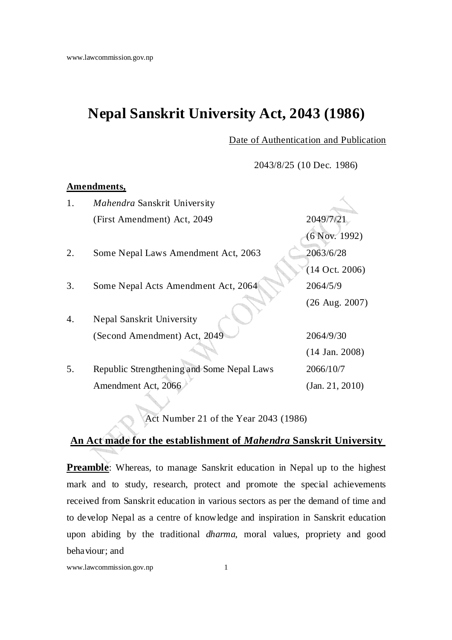# **Nepal Sanskrit University Act, 2043 (1986)**

Date of Authentication and Publication

2043/8/25 (10 Dec. 1986)

## **Amendments,**

| 1. | Mahendra Sanskrit University               |                           |
|----|--------------------------------------------|---------------------------|
|    | (First Amendment) Act, 2049                | 2049/7/21                 |
|    |                                            | $(6$ Nov. 1992)           |
| 2. | Some Nepal Laws Amendment Act, 2063        | 2063/6/28                 |
|    |                                            | $(14$ Oct. 2006)          |
| 3. | Some Nepal Acts Amendment Act, 2064        | 2064/5/9                  |
|    |                                            | $(26 \text{ Aug. } 2007)$ |
| 4. | Nepal Sanskrit University                  |                           |
|    | (Second Amendment) Act, 2049               | 2064/9/30                 |
|    |                                            | $(14$ Jan. 2008)          |
| 5. | Republic Strengthening and Some Nepal Laws | 2066/10/7                 |
|    | Amendment Act, 2066                        | (Jan. 21, 2010)           |

Act Number 21 of the Year 2043 (1986)

## **An Act made for the establishment of** *Mahendra* **Sanskrit University**

**Preamble**: Whereas, to manage Sanskrit education in Nepal up to the highest mark and to study, research, protect and promote the special achievements received from Sanskrit education in various sectors as per the demand of time and to develop Nepal as a centre of knowledge and inspiration in Sanskrit education upon abiding by the traditional *dharma*, moral values, propriety and good behaviour; and

www.lawcommission.gov.np 1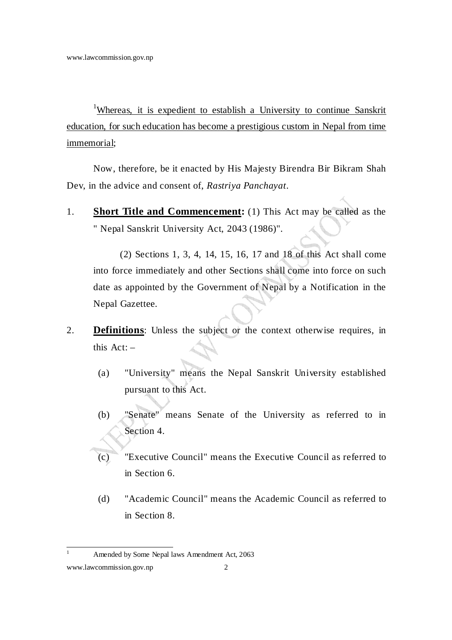<sup>1</sup>Whereas, it is expedient to establish a University to continue Sanskrit education, for such education has become a prestigious custom in Nepal from time immemorial;

Now, therefore, be it enacted by His Majesty Birendra Bir Bikram Shah Dev, in the advice and consent of, *Rastriya Panchayat*.

1. **Short Title and Commencement:** (1) This Act may be called as the " Nepal Sanskrit University Act, 2043 (1986)".

 (2) Sections 1, 3, 4, 14, 15, 16, 17 and 18 of this Act shall come into force immediately and other Sections shall come into force on such date as appointed by the Government of Nepal by a Notification in the Nepal Gazettee.

- 2. **Definitions**: Unless the subject or the context otherwise requires, in this  $Act: -$ 
	- (a) "University" means the Nepal Sanskrit University established pursuant to this Act.
	- (b) "Senate" means Senate of the University as referred to in Section 4.
	- (c) "Executive Council" means the Executive Council as referred to in Section 6.
	- (d) "Academic Council" means the Academic Council as referred to in Section 8.

 $\frac{1}{1}$ Amended by Some Nepal laws Amendment Act, 2063

www.lawcommission.gov.np 2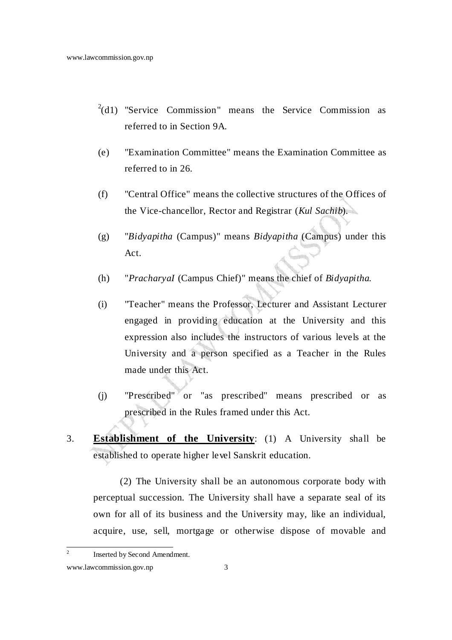- $^{2}(d1)$  "Service Commission" means the Service Commission as referred to in Section 9A.
- (e) "Examination Committee" means the Examination Committee as referred to in 26.
- (f) "Central Office" means the collective structures of the Offices of the Vice-chancellor, Rector and Registrar (*Kul Sachib*).
- (g) "*Bidyapitha* (Campus)" means *Bidyapitha* (Campus) under this Act.
- (h) "*PracharyaI* (Campus Chief)" means the chief of *Bidyapitha*.
- (i) "Teacher" means the Professor, Lecturer and Assistant Lecturer engaged in providing education at the University and this expression also includes the instructors of various levels at the University and a person specified as a Teacher in the Rules made under this Act.
- (j) "Prescribed" or "as prescribed" means prescribed or as prescribed in the Rules framed under this Act.
- 3. **Establishment of the University**: (1) A University shall be established to operate higher level Sanskrit education.

 (2) The University shall be an autonomous corporate body with perceptual succession. The University shall have a separate seal of its own for all of its business and the University may, like an individual, acquire, use, sell, mortgage or otherwise dispose of movable and

 $\frac{1}{2}$ Inserted by Second Amendment.

www.lawcommission.gov.np 3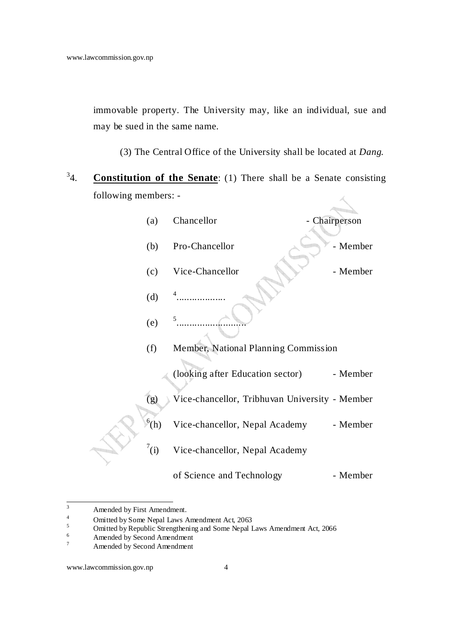immovable property. The University may, like an individual, sue and may be sued in the same name.

(3) The Central Office of the University shall be located at *Dang*.

 $^{3}4$ **Constitution of the Senate**: (1) There shall be a Senate consisting following members: -

| (a)        | Chancellor                                     | Chairperson |
|------------|------------------------------------------------|-------------|
| (b)        | Pro-Chancellor                                 | - Member    |
| (c)        | Vice-Chancellor                                | - Member    |
| (d)        |                                                |             |
| (e)        |                                                |             |
| (f)        | Member, National Planning Commission           |             |
|            | (looking after Education sector)               | - Member    |
| (g)        | Vice-chancellor, Tribhuvan University - Member |             |
| $^{6}$ (h) | Vice-chancellor, Nepal Academy                 | - Member    |
| $^7$ (i)   | Vice-chancellor, Nepal Academy                 |             |
|            | of Science and Technology                      | - Member    |

 3 Amended by First Amendment.

<sup>4</sup> Omitted by Some Nepal Laws Amendment Act, 2063

<sup>5</sup> Omitted by Republic Strengthening and Some Nepal Laws Amendment Act, 2066

<sup>6</sup> Amended by Second Amendment

<sup>7</sup> Amended by Second Amendment

www.lawcommission.gov.np 4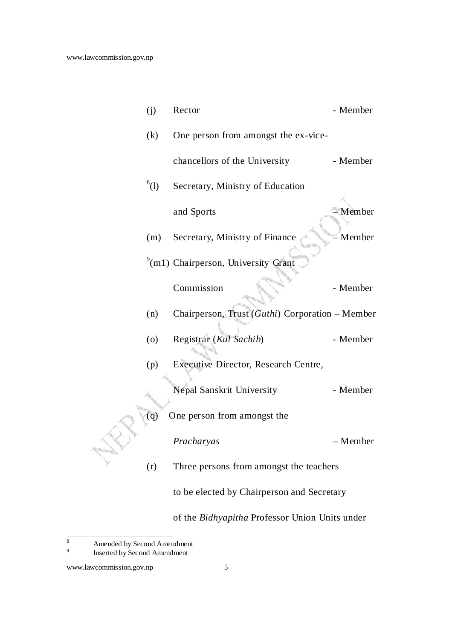| (j)     | Rector                                          | - Member |
|---------|-------------------------------------------------|----------|
| (k)     | One person from amongst the ex-vice-            |          |
|         | chancellors of the University                   | - Member |
| $^8(1)$ | Secretary, Ministry of Education                |          |
|         | and Sports                                      | - Member |
| (m)     | Secretary, Ministry of Finance                  | Member   |
|         | <sup>9</sup> (m1) Chairperson, University Grant |          |
|         | Commission                                      | - Member |
| (n)     | Chairperson, Trust (Guthi) Corporation - Member |          |
| (0)     | Registrar (Kul Sachib)                          | - Member |
| (p)     | Executive Director, Research Centre,            |          |
|         | Nepal Sanskrit University                       | - Member |
| (q)     | One person from amongst the                     |          |
|         | Pracharyas                                      | – Member |
| (r)     | Three persons from amongst the teachers         |          |
|         | to be elected by Chairperson and Secretary      |          |
|         | of the Bidhyapitha Professor Union Units under  |          |

 8 Amended by Second Amendment

<sup>9</sup> Inserted by Second Amendment

www.lawcommission.gov.np 5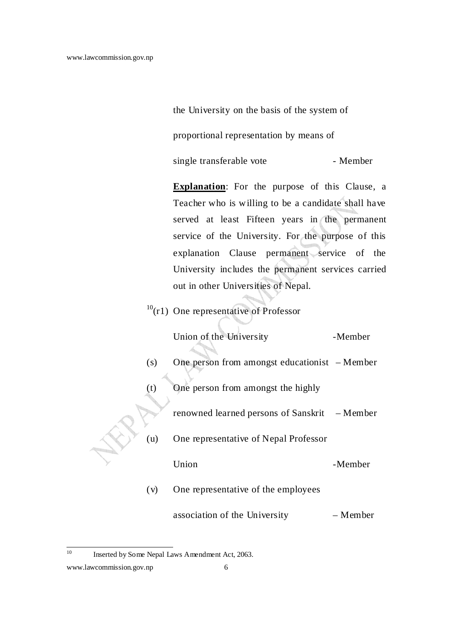the University on the basis of the system of

proportional representation by means of

single transferable vote - Member

**Explanation**: For the purpose of this Clause, a Teacher who is willing to be a candidate shall have served at least Fifteen years in the permanent service of the University. For the purpose of this explanation Clause permanent service of the University includes the permanent services carried out in other Universities of Nepal.

 $10(r1)$  One representative of Professor

|     | Union of the University                        | -Member  |
|-----|------------------------------------------------|----------|
| (s) | One person from amongst educationist $-Member$ |          |
| (t) | One person from amongst the highly             |          |
|     | renowned learned persons of Sanskrit – Member  |          |
| (u) | One representative of Nepal Professor          |          |
|     | Union                                          | -Member  |
| (v) | One representative of the employees            |          |
|     | association of the University                  | – Member |

 $10<sup>10</sup>$ Inserted by Some Nepal Laws Amendment Act, 2063.

www.lawcommission.gov.np 6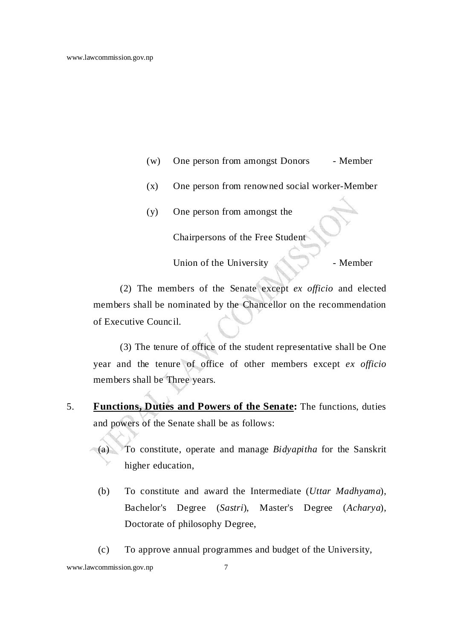- (w) One person from amongst Donors Member
- (x) One person from renowned social worker-Member
- (y) One person from amongst the

Chairpersons of the Free Student

Union of the University - Member

 (2) The members of the Senate except *ex officio* and elected members shall be nominated by the Chancellor on the recommendation of Executive Council.

(3) The tenure of office of the student representative shall be One year and the tenure of office of other members except *ex officio* members shall be Three years.

5. **Functions, Duties and Powers of the Senate:** The functions, duties and powers of the Senate shall be as follows:

(a) To constitute, operate and manage *Bidyapitha* for the Sanskrit higher education,

- (b) To constitute and award the Intermediate (*Uttar Madhyama*), Bachelor's Degree (*Sastri*), Master's Degree (*Acharya*), Doctorate of philosophy Degree,
- (c) To approve annual programmes and budget of the University,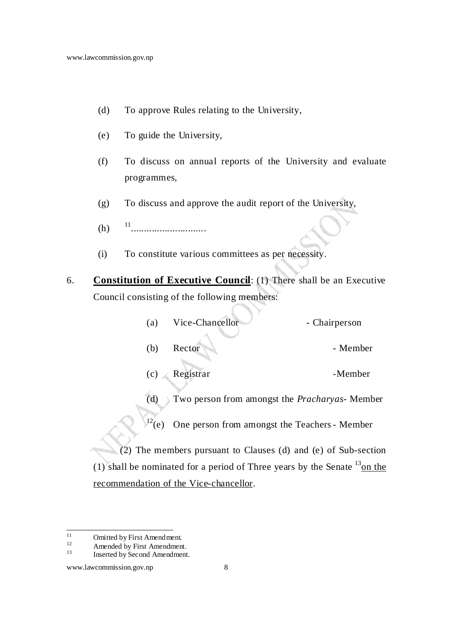- (d) To approve Rules relating to the University,
- (e) To guide the University,
- (f) To discuss on annual reports of the University and evaluate programmes,
- (g) To discuss and approve the audit report of the University,
- $(h)$ 11<br>................................
- (i) To constitute various committees as per necessity.
- 6. **Constitution of Executive Council**: (1) There shall be an Executive Council consisting of the following members:

| (a)              | Vice-Chancellor                        | - Chairperson                                                                     |
|------------------|----------------------------------------|-----------------------------------------------------------------------------------|
| (b)              | Rector                                 | - Member                                                                          |
| (c)              | Registrar                              | -Member                                                                           |
| (d)              |                                        | Two person from amongst the <i>Pracharyas</i> - Member                            |
| $\sqrt[12]{(e)}$ |                                        | One person from amongst the Teachers - Member                                     |
|                  |                                        | (2) The members pursuant to Clauses (d) and (e) of Sub-section                    |
|                  |                                        | $(1)$ shall be nominated for a period of Three years by the Senate $^{13}$ on the |
|                  | recommendation of the Vice-chancellor. |                                                                                   |
|                  |                                        |                                                                                   |

 $11$  $11$  Omitted by First Amendment.

 $12$  Amended by First Amendment.

Inserted by Second Amendment.

www.lawcommission.gov.np 8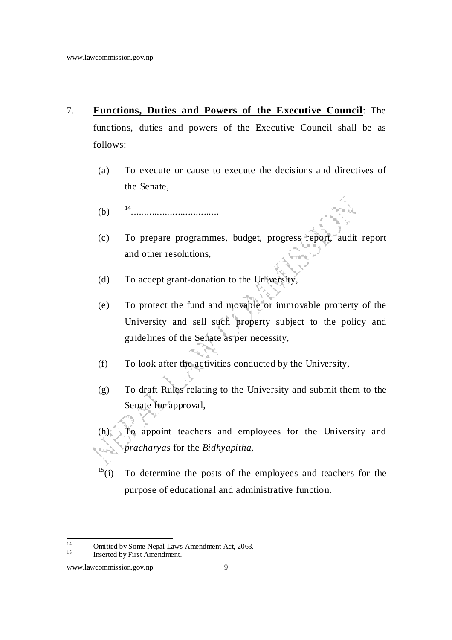- 7. **Functions, Duties and Powers of the Executive Council**: The functions, duties and powers of the Executive Council shall be as follows:
	- (a) To execute or cause to execute the decisions and directives of the Senate,
	- $(b)$ ..................................
	- (c) To prepare programmes, budget, progress report, audit report and other resolutions,
	- (d) To accept grant-donation to the University,
	- (e) To protect the fund and movable or immovable property of the University and sell such property subject to the policy and guidelines of the Senate as per necessity,
	- (f) To look after the activities conducted by the University,
	- (g) To draft Rules relating to the University and submit them to the Senate for approval,
	- (h) To appoint teachers and employees for the University and *pracharyas* for the *Bidhyapitha*,
	- $15(i)$  To determine the posts of the employees and teachers for the purpose of educational and administrative function.

 $14$ <sup>14</sup> Omitted by Some Nepal Laws Amendment Act, 2063.

Inserted by First Amendment.

www.lawcommission.gov.np 9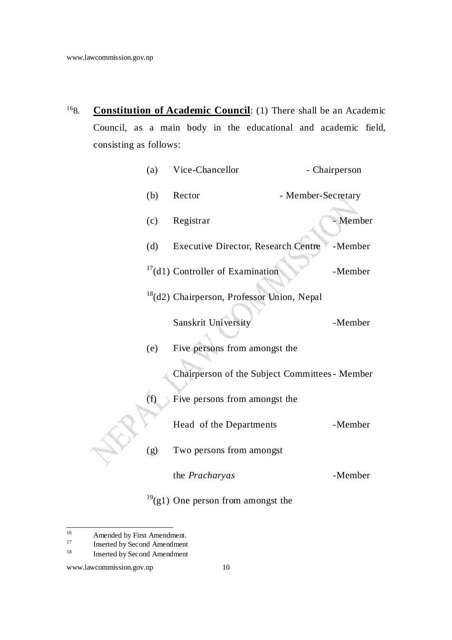<sup>16</sup>8. **Constitution of Academic Council**: (1) There shall be an Academic Council, as a main body in the educational and academic field, consisting as follows:

| (a) | Vice-Chancellor                                        | - Chairperson      |  |
|-----|--------------------------------------------------------|--------------------|--|
| (b) | Rector                                                 | - Member-Secretary |  |
| (c) | Registrar                                              | - Member           |  |
| (d) | <b>Executive Director, Research Centre</b>             | -Member            |  |
|     | $17$ (d1) Controller of Examination                    | -Member            |  |
|     | <sup>18</sup> (d2) Chairperson, Professor Union, Nepal |                    |  |
|     | Sanskrit University                                    | -Member            |  |
| (e) | Five persons from amongst the                          |                    |  |
|     | Chairperson of the Subject Committees - Member         |                    |  |
| (f) | Five persons from amongst the                          |                    |  |
|     | Head of the Departments                                | -Member            |  |
| (g) | Two persons from amongst                               |                    |  |
|     | the Pracharyas                                         | -Member            |  |
|     |                                                        |                    |  |

## $19(g1)$  One person from amongst the

 $16\,$ <sup>16</sup> Amended by First Amendment.

 $17$  Inserted by Second Amendment

Inserted by Second Amendment

www.lawcommission.gov.np 10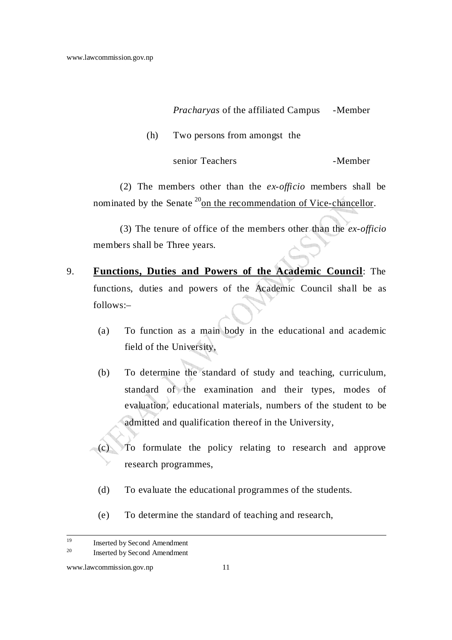### *Pracharyas* of the affiliated Campus -Member

(h) Two persons from amongst the

senior Teachers -Member

 (2) The members other than the *ex-officio* members shall be nominated by the Senate<sup>20</sup> on the recommendation of Vice-chancellor.

 (3) The tenure of office of the members other than the *ex-officio* members shall be Three years.

- 9. **Functions, Duties and Powers of the Academic Council**: The functions, duties and powers of the Academic Council shall be as follows:–
	- (a) To function as a main body in the educational and academic field of the University,
	- (b) To determine the standard of study and teaching, curriculum, standard of the examination and their types, modes of evaluation, educational materials, numbers of the student to be admitted and qualification thereof in the University,
	- (c) To formulate the policy relating to research and approve research programmes,
		- (d) To evaluate the educational programmes of the students.
		- (e) To determine the standard of teaching and research,

<sup>19</sup> Inserted by Second Amendment

<sup>20</sup> Inserted by Second Amendment

www.lawcommission.gov.np 11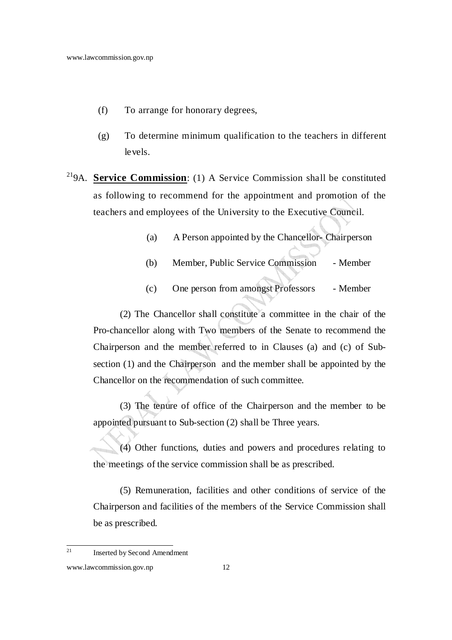- (f) To arrange for honorary degrees,
- (g) To determine minimum qualification to the teachers in different levels.
- <sup>21</sup>9A. **Service Commission**: (1) A Service Commission shall be constituted as following to recommend for the appointment and promotion of the teachers and employees of the University to the Executive Council.
	- (a) A Person appointed by the Chancellor- Chairperson
	- (b) Member, Public Service Commission Member
	- (c) One person from amongst Professors Member

 (2) The Chancellor shall constitute a committee in the chair of the Pro-chancellor along with Two members of the Senate to recommend the Chairperson and the member referred to in Clauses (a) and (c) of Subsection (1) and the Chairperson and the member shall be appointed by the Chancellor on the recommendation of such committee.

 (3) The tenure of office of the Chairperson and the member to be appointed pursuant to Sub-section (2) shall be Three years.

 (4) Other functions, duties and powers and procedures relating to the meetings of the service commission shall be as prescribed.

 (5) Remuneration, facilities and other conditions of service of the Chairperson and facilities of the members of the Service Commission shall be as prescribed.

<sup>21</sup> Inserted by Second Amendment

www.lawcommission.gov.np 12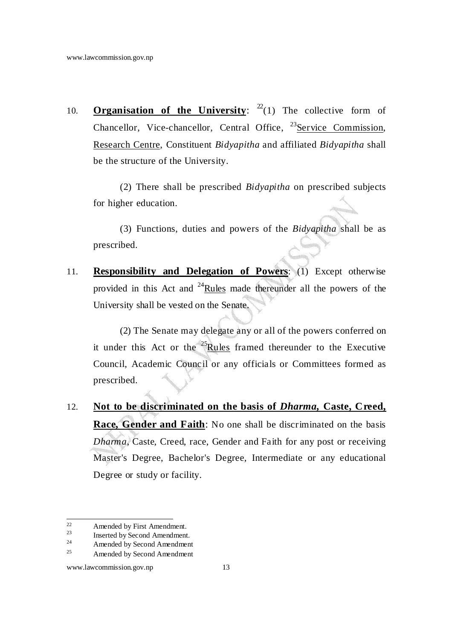10. **Organisation of the University**:  $2^2(1)$  The collective form of Chancellor, Vice-chancellor, Central Office,  $^{23}$ Service Commission, Research Centre, Constituent *Bidyapitha* and affiliated *Bidyapitha* shall be the structure of the University.

 (2) There shall be prescribed *Bidyapitha* on prescribed subjects for higher education.

 (3) Functions, duties and powers of the *Bidyapitha* shall be as prescribed.

11. **Responsibility and Delegation of Powers**: (1) Except otherwise provided in this Act and <sup>24</sup>Rules made thereunder all the powers of the University shall be vested on the Senate.

 (2) The Senate may delegate any or all of the powers conferred on it under this Act or the <sup>25</sup>Rules framed thereunder to the Executive Council, Academic Council or any officials or Committees formed as prescribed.

12. **Not to be discriminated on the basis of** *Dharma***, Caste, Creed, Race, Gender and Faith**: No one shall be discriminated on the basis *Dharma*, Caste, Creed, race, Gender and Faith for any post or receiving Master's Degree, Bachelor's Degree, Intermediate or any educational Degree or study or facility.

 $22$  $22$  Amended by First Amendment.<br>Inserted by Second Amendment

 $\frac{23}{24}$  Inserted by Second Amendment.

 $^{24}$  Amended by Second Amendment

Amended by Second Amendment

www.lawcommission.gov.np 13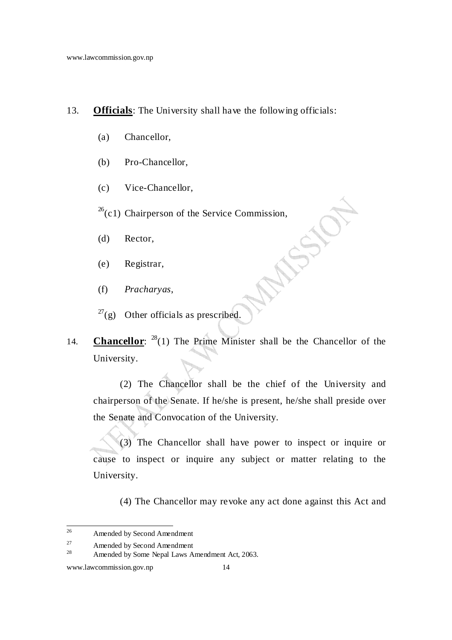### 13. **Officials**: The University shall have the following officials:

- (a) Chancellor,
- (b) Pro-Chancellor,
- (c) Vice-Chancellor,

 $26$ (c1) Chairperson of the Service Commission,

- (d) Rector,
- (e) Registrar,
- (f) *Pracharyas*,
- $27$ (g) Other officials as prescribed.
- 14. **Chancellor**:  $^{28}(1)$  The Prime Minister shall be the Chancellor of the University.

 (2) The Chancellor shall be the chief of the University and chairperson of the Senate. If he/she is present, he/she shall preside over the Senate and Convocation of the University.

 (3) The Chancellor shall have power to inspect or inquire or cause to inspect or inquire any subject or matter relating to the University.

(4) The Chancellor may revoke any act done against this Act and

<sup>26</sup> Amended by Second Amendment

 $27$  Amended by Second Amendment<br> $28$  Amended by Some Nonel Laws A

Amended by Some Nepal Laws Amendment Act, 2063.

www.lawcommission.gov.np 14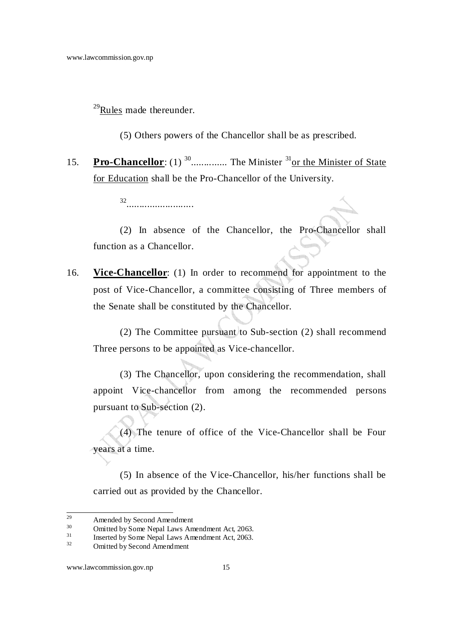$^{29}$ Rules made thereunder.

(5) Others powers of the Chancellor shall be as prescribed.

15. **Pro-Chancellor**: (1) <sup>30</sup>.............. The Minister <sup>31</sup>or the Minister of State for Education shall be the Pro-Chancellor of the University.

32<br>**.........................** 

 (2) In absence of the Chancellor, the Pro-Chancellor shall function as a Chancellor.

16. **Vice-Chancellor**: (1) In order to recommend for appointment to the post of Vice-Chancellor, a committee consisting of Three members of the Senate shall be constituted by the Chancellor.

 (2) The Committee pursuant to Sub-section (2) shall recommend Three persons to be appointed as Vice-chancellor.

 (3) The Chancellor, upon considering the recommendation, shall appoint Vice-chancellor from among the recommended persons pursuant to Sub-section (2).

 (4) The tenure of office of the Vice-Chancellor shall be Four years at a time.

 (5) In absence of the Vice-Chancellor, his/her functions shall be carried out as provided by the Chancellor.

 $29$  $^{29}$  Amended by Second Amendment<br>30 Curitted by Some Nepel Laws Amendment

 $\frac{30}{31}$  Omitted by Some Nepal Laws Amendment Act, 2063.

 $\frac{31}{32}$  Inserted by Some Nepal Laws Amendment Act, 2063.

Omitted by Second Amendment

www.lawcommission.gov.np 15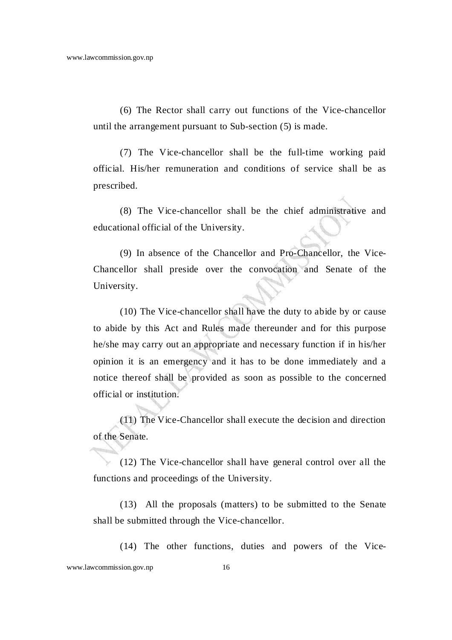(6) The Rector shall carry out functions of the Vice-chancellor until the arrangement pursuant to Sub-section (5) is made.

 (7) The Vice-chancellor shall be the full-time working paid official. His/her remuneration and conditions of service shall be as prescribed.

 (8) The Vice-chancellor shall be the chief administrative and educational official of the University.

 (9) In absence of the Chancellor and Pro-Chancellor, the Vice-Chancellor shall preside over the convocation and Senate of the University.

 (10) The Vice-chancellor shall have the duty to abide by or cause to abide by this Act and Rules made thereunder and for this purpose he/she may carry out an appropriate and necessary function if in his/her opinion it is an emergency and it has to be done immediately and a notice thereof shall be provided as soon as possible to the concerned official or institution.

 (11) The Vice-Chancellor shall execute the decision and direction of the Senate.

 (12) The Vice-chancellor shall have general control over all the functions and proceedings of the University.

 (13) All the proposals (matters) to be submitted to the Senate shall be submitted through the Vice-chancellor.

(14) The other functions, duties and powers of the Vice-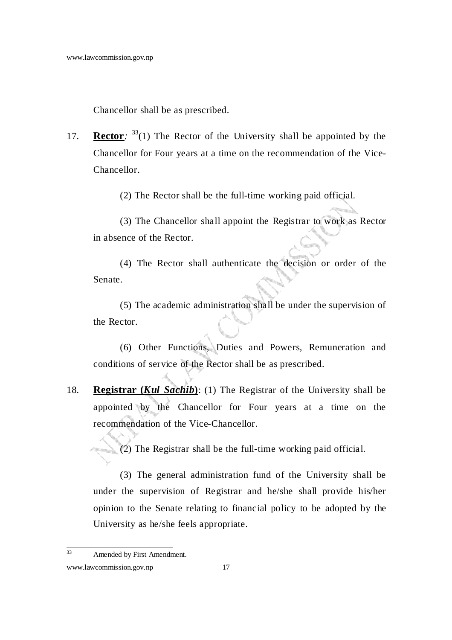Chancellor shall be as prescribed.

17. **Rector**:  $33(1)$  The Rector of the University shall be appointed by the Chancellor for Four years at a time on the recommendation of the Vice-Chancellor.

(2) The Rector shall be the full-time working paid official.

 (3) The Chancellor shall appoint the Registrar to work as Rector in absence of the Rector.

 (4) The Rector shall authenticate the decision or order of the Senate.

 (5) The academic administration shall be under the supervision of the Rector.

(6) Other Functions, Duties and Powers, Remuneration and conditions of service of the Rector shall be as prescribed.

18. **Registrar (***Kul Sachib***)**: (1) The Registrar of the University shall be appointed by the Chancellor for Four years at a time on the recommendation of the Vice-Chancellor.

(2) The Registrar shall be the full-time working paid official.

 (3) The general administration fund of the University shall be under the supervision of Registrar and he/she shall provide his/her opinion to the Senate relating to financial policy to be adopted by the University as he/she feels appropriate.

 $33<sup>3</sup>$ Amended by First Amendment.

www.lawcommission.gov.np 17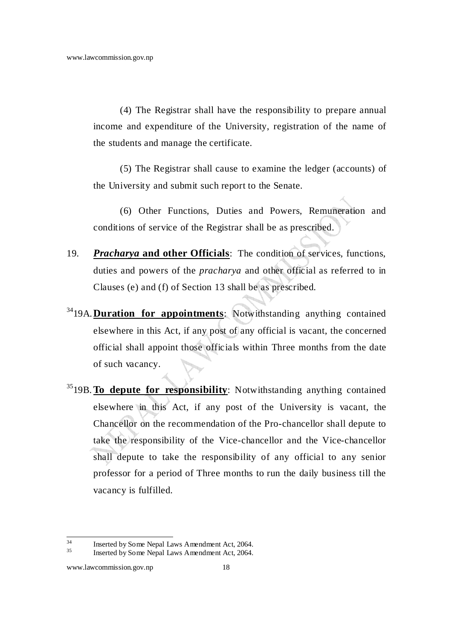(4) The Registrar shall have the responsibility to prepare annual income and expenditure of the University, registration of the name of the students and manage the certificate.

 (5) The Registrar shall cause to examine the ledger (accounts) of the University and submit such report to the Senate.

 (6) Other Functions, Duties and Powers, Remuneration and conditions of service of the Registrar shall be as prescribed.

- 19. *Pracharya* **and other Officials**: The condition of services, functions, duties and powers of the *pracharya* and other official as referred to in Clauses (e) and (f) of Section 13 shall be as prescribed.
- <sup>34</sup>19A. **Duration for appointments**: Notwithstanding anything contained elsewhere in this Act, if any post of any official is vacant, the concerned official shall appoint those officials within Three months from the date of such vacancy.
- <sup>35</sup>19B. **To depute for responsibility**: Notwithstanding anything contained elsewhere in this Act, if any post of the University is vacant, the Chancellor on the recommendation of the Pro-chancellor shall depute to take the responsibility of the Vice-chancellor and the Vice-chancellor shall depute to take the responsibility of any official to any senior professor for a period of Three months to run the daily business till the vacancy is fulfilled.

 $34$  $\frac{34}{135}$  Inserted by Some Nepal Laws Amendment Act, 2064.

Inserted by Some Nepal Laws Amendment Act, 2064.

www.lawcommission.gov.np 18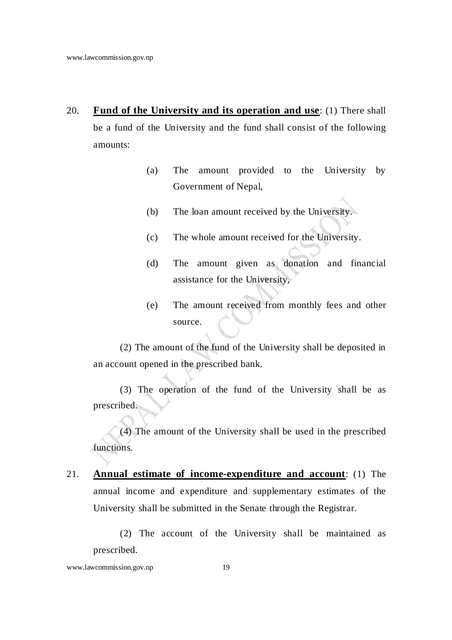- 20. **Fund of the University and its operation and use**: (1) There shall be a fund of the University and the fund shall consist of the following amounts:
	- (a) The amount provided to the University by Government of Nepal,
	- (b) The loan amount received by the University.
	- (c) The whole amount received for the University.
	- (d) The amount given as donation and financial assistance for the University,
	- (e) The amount received from monthly fees and other source.

 (2) The amount of the fund of the University shall be deposited in an account opened in the prescribed bank.

 (3) The operation of the fund of the University shall be as prescribed.

 (4) The amount of the University shall be used in the prescribed functions.

21. **Annual estimate of income-expenditure and account**: (1) The annual income and expenditure and supplementary estimates of the University shall be submitted in the Senate through the Registrar.

 (2) The account of the University shall be maintained as prescribed.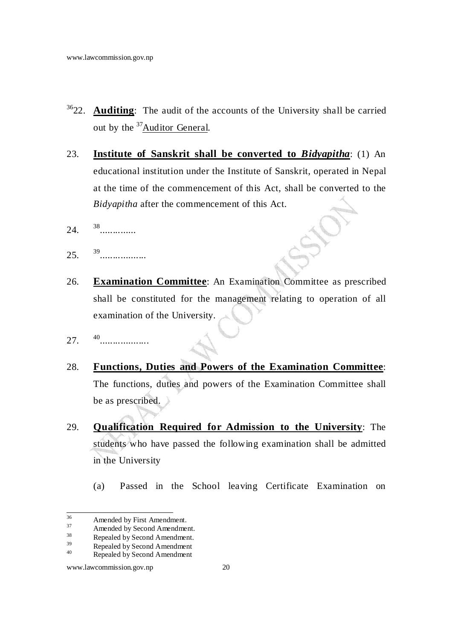- <sup>36</sup>22. **Auditing**: The audit of the accounts of the University shall be carried out by the <sup>37</sup>Auditor General.
- 23. **Institute of Sanskrit shall be converted to** *Bidyapitha*: (1) An educational institution under the Institute of Sanskrit, operated in Nepal at the time of the commencement of this Act, shall be converted to the *Bidyapitha* after the commencement of this Act.
- $24.$ ..............
- $25.$ 39<br>...................
- 26. **Examination Committee**: An Examination Committee as prescribed shall be constituted for the management relating to operation of all examination of the University.
- $27.$ 40 **.................**
- 28. **Functions, Duties and Powers of the Examination Committee**: The functions, duties and powers of the Examination Committee shall be as prescribed.
- 29. **Qualification Required for Admission to the University**: The students who have passed the following examination shall be admitted in the University
	- (a) Passed in the School leaving Certificate Examination on

<sup>36</sup>  $36$  Amended by First Amendment.

 $37$  Amended by Second Amendment.<br> $38$  Penealed by Second Amendment.

 $39$  Repealed by Second Amendment.<br>Benealed by Second Amendment.

 $\frac{39}{40}$  Repealed by Second Amendment

Repealed by Second Amendment

www.lawcommission.gov.np 20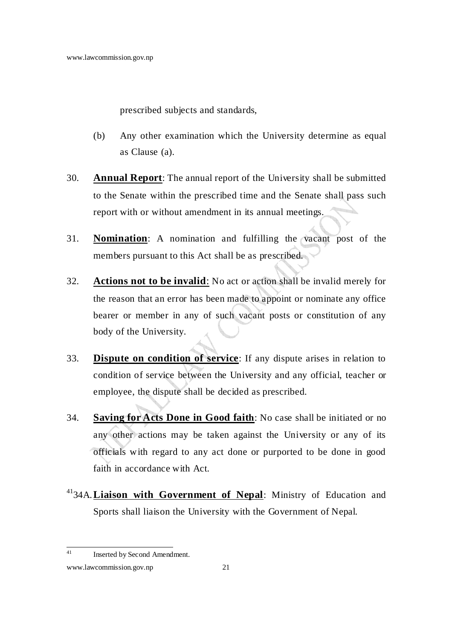prescribed subjects and standards,

- (b) Any other examination which the University determine as equal as Clause (a).
- 30. **Annual Report**: The annual report of the University shall be submitted to the Senate within the prescribed time and the Senate shall pass such report with or without amendment in its annual meetings.
- 31. **Nomination**: A nomination and fulfilling the vacant post of the members pursuant to this Act shall be as prescribed.
- 32. **Actions not to be invalid**: No act or action shall be invalid merely for the reason that an error has been made to appoint or nominate any office bearer or member in any of such vacant posts or constitution of any body of the University.
- 33. **Dispute on condition of service**: If any dispute arises in relation to condition of service between the University and any official, teacher or employee, the dispute shall be decided as prescribed.
- 34. **Saving for Acts Done in Good faith**: No case shall be initiated or no any other actions may be taken against the University or any of its officials with regard to any act done or purported to be done in good faith in accordance with Act.
- <sup>41</sup>34A. **Liaison with Government of Nepal**: Ministry of Education and Sports shall liaison the University with the Government of Nepal.

 $41$ Inserted by Second Amendment.

www.lawcommission.gov.np 21